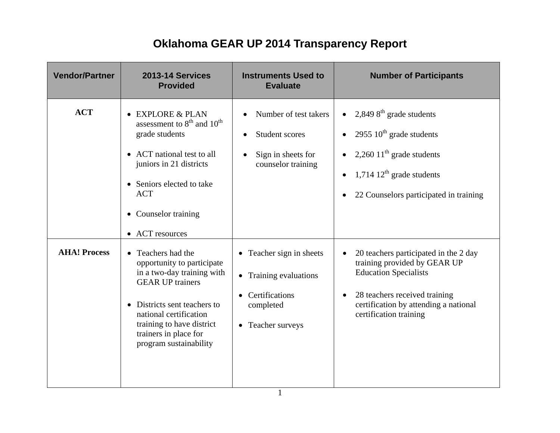## **Oklahoma GEAR UP 2014 Transparency Report**

| <b>Vendor/Partner</b> | <b>2013-14 Services</b><br><b>Provided</b>                                                                                                                                                                                                                     | <b>Instruments Used to</b><br><b>Evaluate</b>                                                                 | <b>Number of Participants</b>                                                                                                                                                                             |
|-----------------------|----------------------------------------------------------------------------------------------------------------------------------------------------------------------------------------------------------------------------------------------------------------|---------------------------------------------------------------------------------------------------------------|-----------------------------------------------------------------------------------------------------------------------------------------------------------------------------------------------------------|
| <b>ACT</b>            | • EXPLORE & PLAN<br>assessment to 8 <sup>th</sup> and 10 <sup>th</sup><br>grade students<br>• ACT national test to all<br>juniors in 21 districts<br>• Seniors elected to take<br><b>ACT</b><br>• Counselor training<br>• ACT resources                        | Number of test takers<br>Student scores<br>$\bullet$<br>Sign in sheets for<br>$\bullet$<br>counselor training | 2,849 $8^{\text{th}}$ grade students<br>2955 $10^{th}$ grade students<br>2,260 11 <sup>th</sup> grade students<br>1,714 $12th$ grade students<br>22 Counselors participated in training                   |
| <b>AHA! Process</b>   | • Teachers had the<br>opportunity to participate<br>in a two-day training with<br><b>GEAR UP trainers</b><br>Districts sent teachers to<br>$\bullet$<br>national certification<br>training to have district<br>trainers in place for<br>program sustainability | • Teacher sign in sheets<br>• Training evaluations<br>Certifications<br>completed<br>• Teacher surveys        | 20 teachers participated in the 2 day<br>training provided by GEAR UP<br><b>Education Specialists</b><br>28 teachers received training<br>certification by attending a national<br>certification training |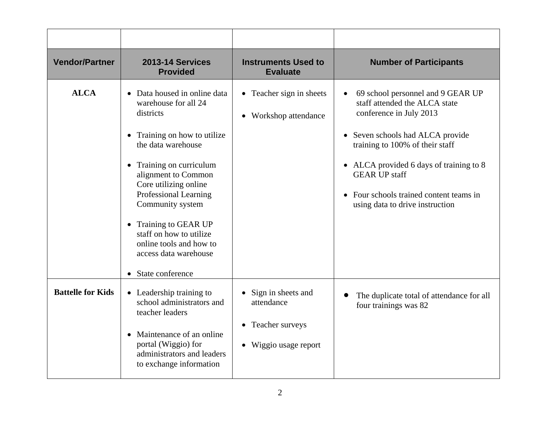| <b>Vendor/Partner</b>    | <b>2013-14 Services</b><br><b>Provided</b>                                                                                                                                                                                                                                                                                                                                                | <b>Instruments Used to</b><br><b>Evaluate</b>                                  | <b>Number of Participants</b>                                                                                                                                                                                                                                                                                         |
|--------------------------|-------------------------------------------------------------------------------------------------------------------------------------------------------------------------------------------------------------------------------------------------------------------------------------------------------------------------------------------------------------------------------------------|--------------------------------------------------------------------------------|-----------------------------------------------------------------------------------------------------------------------------------------------------------------------------------------------------------------------------------------------------------------------------------------------------------------------|
| <b>ALCA</b>              | • Data housed in online data<br>warehouse for all 24<br>districts<br>Training on how to utilize<br>$\bullet$<br>the data warehouse<br>• Training on curriculum<br>alignment to Common<br>Core utilizing online<br>Professional Learning<br>Community system<br>• Training to GEAR UP<br>staff on how to utilize<br>online tools and how to<br>access data warehouse<br>• State conference | • Teacher sign in sheets<br>Workshop attendance                                | 69 school personnel and 9 GEAR UP<br>staff attended the ALCA state<br>conference in July 2013<br>• Seven schools had ALCA provide<br>training to 100% of their staff<br>• ALCA provided 6 days of training to 8<br><b>GEAR UP staff</b><br>• Four schools trained content teams in<br>using data to drive instruction |
| <b>Battelle for Kids</b> | • Leadership training to<br>school administrators and<br>teacher leaders<br>Maintenance of an online<br>$\bullet$<br>portal (Wiggio) for<br>administrators and leaders<br>to exchange information                                                                                                                                                                                         | Sign in sheets and<br>attendance<br>• Teacher surveys<br>• Wiggio usage report | The duplicate total of attendance for all<br>four trainings was 82                                                                                                                                                                                                                                                    |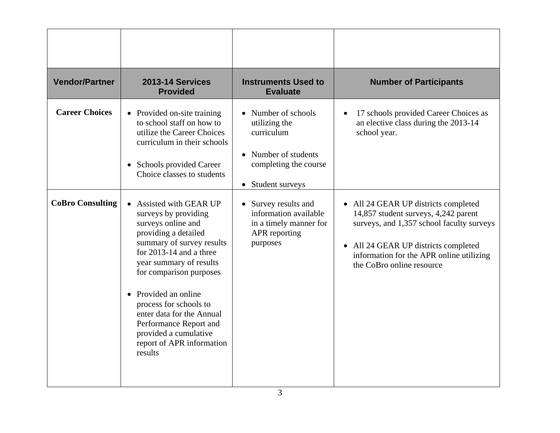| <b>Vendor/Partner</b>                            | <b>2013-14 Services</b><br><b>Provided</b>                                                                                                                                                                                                                                                                                                                                                                                                                                                                                                                                                                 | <b>Instruments Used to</b><br><b>Evaluate</b>                                                                                                                                                                                               | <b>Number of Participants</b>                                                                                                                                                                                                                                                                                                               |
|--------------------------------------------------|------------------------------------------------------------------------------------------------------------------------------------------------------------------------------------------------------------------------------------------------------------------------------------------------------------------------------------------------------------------------------------------------------------------------------------------------------------------------------------------------------------------------------------------------------------------------------------------------------------|---------------------------------------------------------------------------------------------------------------------------------------------------------------------------------------------------------------------------------------------|---------------------------------------------------------------------------------------------------------------------------------------------------------------------------------------------------------------------------------------------------------------------------------------------------------------------------------------------|
| <b>Career Choices</b><br><b>CoBro Consulting</b> | • Provided on-site training<br>to school staff on how to<br>utilize the Career Choices<br>curriculum in their schools<br>Schools provided Career<br>$\bullet$<br>Choice classes to students<br>Assisted with GEAR UP<br>$\bullet$<br>surveys by providing<br>surveys online and<br>providing a detailed<br>summary of survey results<br>for 2013-14 and a three<br>year summary of results<br>for comparison purposes<br>Provided an online<br>$\bullet$<br>process for schools to<br>enter data for the Annual<br>Performance Report and<br>provided a cumulative<br>report of APR information<br>results | • Number of schools<br>utilizing the<br>curriculum<br>• Number of students<br>completing the course<br>Student surveys<br>$\bullet$<br>• Survey results and<br>information available<br>in a timely manner for<br>APR reporting<br>purposes | 17 schools provided Career Choices as<br>an elective class during the 2013-14<br>school year.<br>• All 24 GEAR UP districts completed<br>14,857 student surveys, 4,242 parent<br>surveys, and 1,357 school faculty surveys<br>• All 24 GEAR UP districts completed<br>information for the APR online utilizing<br>the CoBro online resource |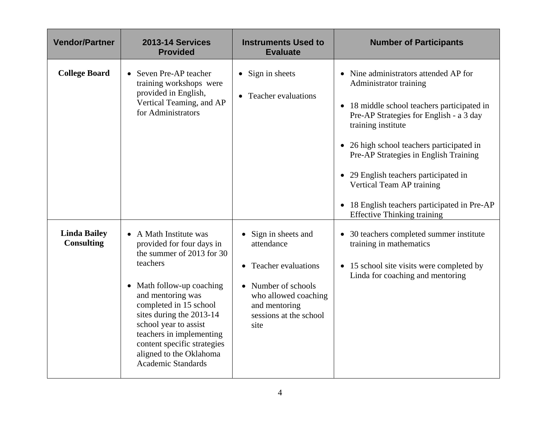| <b>Vendor/Partner</b>                    | <b>2013-14 Services</b><br><b>Provided</b>                                                                                                                                                                                                                                                                                                       | <b>Instruments Used to</b><br><b>Evaluate</b>                                                                                                                  | <b>Number of Participants</b>                                                                                                                                                                                                                                                                                                                                                                                                            |
|------------------------------------------|--------------------------------------------------------------------------------------------------------------------------------------------------------------------------------------------------------------------------------------------------------------------------------------------------------------------------------------------------|----------------------------------------------------------------------------------------------------------------------------------------------------------------|------------------------------------------------------------------------------------------------------------------------------------------------------------------------------------------------------------------------------------------------------------------------------------------------------------------------------------------------------------------------------------------------------------------------------------------|
| <b>College Board</b>                     | • Seven Pre-AP teacher<br>training workshops were<br>provided in English,<br>Vertical Teaming, and AP<br>for Administrators                                                                                                                                                                                                                      | $\bullet$ Sign in sheets<br>• Teacher evaluations                                                                                                              | Nine administrators attended AP for<br>Administrator training<br>• 18 middle school teachers participated in<br>Pre-AP Strategies for English - a 3 day<br>training institute<br>• 26 high school teachers participated in<br>Pre-AP Strategies in English Training<br>29 English teachers participated in<br>$\bullet$<br>Vertical Team AP training<br>18 English teachers participated in Pre-AP<br><b>Effective Thinking training</b> |
| <b>Linda Bailey</b><br><b>Consulting</b> | • A Math Institute was<br>provided for four days in<br>the summer of 2013 for 30<br>teachers<br>• Math follow-up coaching<br>and mentoring was<br>completed in 15 school<br>sites during the 2013-14<br>school year to assist<br>teachers in implementing<br>content specific strategies<br>aligned to the Oklahoma<br><b>Academic Standards</b> | Sign in sheets and<br>attendance<br><b>Teacher evaluations</b><br>Number of schools<br>who allowed coaching<br>and mentoring<br>sessions at the school<br>site | • 30 teachers completed summer institute<br>training in mathematics<br>• 15 school site visits were completed by<br>Linda for coaching and mentoring                                                                                                                                                                                                                                                                                     |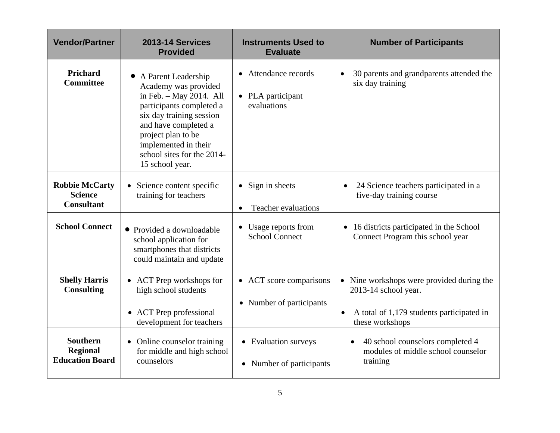| <b>Vendor/Partner</b>                                        | 2013-14 Services<br><b>Provided</b>                                                                                                                                                                                                                     | <b>Instruments Used to</b><br><b>Evaluate</b>            | <b>Number of Participants</b>                                                                                                                  |
|--------------------------------------------------------------|---------------------------------------------------------------------------------------------------------------------------------------------------------------------------------------------------------------------------------------------------------|----------------------------------------------------------|------------------------------------------------------------------------------------------------------------------------------------------------|
| Prichard<br><b>Committee</b>                                 | A Parent Leadership<br>Academy was provided<br>in Feb. $-$ May 2014. All<br>participants completed a<br>six day training session<br>and have completed a<br>project plan to be<br>implemented in their<br>school sites for the 2014-<br>15 school year. | • Attendance records<br>• PLA participant<br>evaluations | 30 parents and grandparents attended the<br>six day training                                                                                   |
| <b>Robbie McCarty</b><br><b>Science</b><br><b>Consultant</b> | • Science content specific<br>training for teachers                                                                                                                                                                                                     | $\bullet$ Sign in sheets<br><b>Teacher evaluations</b>   | 24 Science teachers participated in a<br>five-day training course                                                                              |
| <b>School Connect</b>                                        | • Provided a downloadable<br>school application for<br>smartphones that districts<br>could maintain and update                                                                                                                                          | • Usage reports from<br><b>School Connect</b>            | 16 districts participated in the School<br>$\bullet$<br>Connect Program this school year                                                       |
| <b>Shelly Harris</b><br><b>Consulting</b>                    | • ACT Prep workshops for<br>high school students<br>• ACT Prep professional<br>development for teachers                                                                                                                                                 | • ACT score comparisons<br>• Number of participants      | • Nine workshops were provided during the<br>2013-14 school year.<br>A total of 1,179 students participated in<br>$\bullet$<br>these workshops |
| <b>Southern</b><br><b>Regional</b><br><b>Education Board</b> | Online counselor training<br>$\bullet$<br>for middle and high school<br>counselors                                                                                                                                                                      | • Evaluation surveys<br>• Number of participants         | 40 school counselors completed 4<br>$\bullet$<br>modules of middle school counselor<br>training                                                |